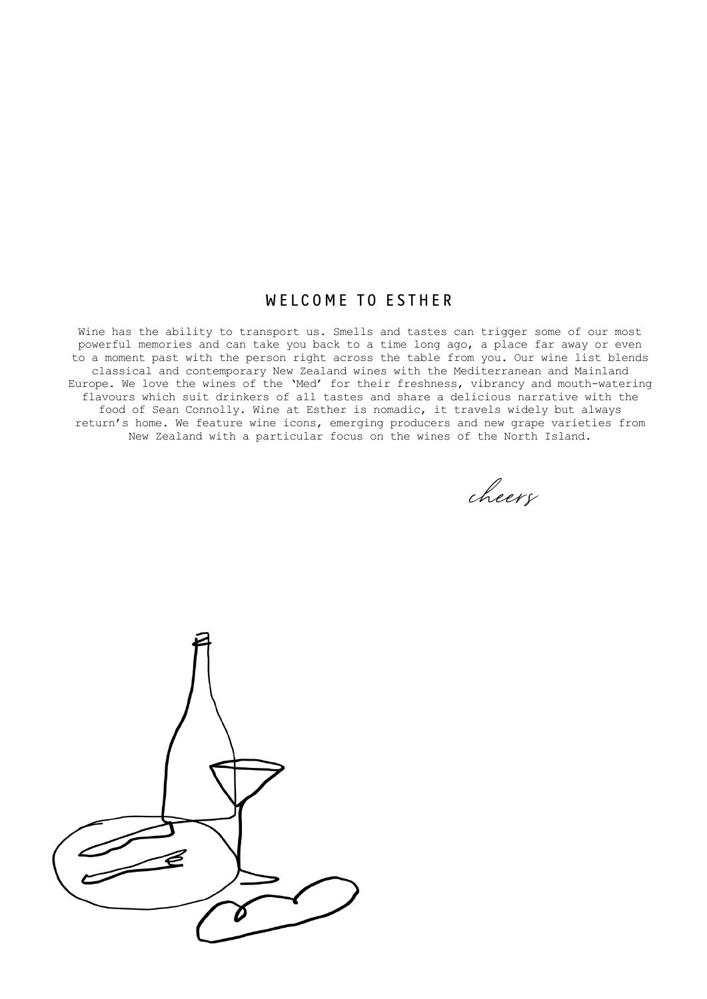# WELCOME TO ESTHER W E L C O M E T O E S T O E S T O E S T

Wine has the ability to transport us. Smells and tastes can trigger some of our most powerful memories and can take you back to a time long ago, a place far away or even to a moment past with the person right across the table from you. Our wine list blends classical and contemporary New Zealand wines with the Mediterranean and Mainland Europe. We love the wines of the 'Med' for their freshness, vibrancy and mouth-watering flavours which suit drinkers of all tastes and share a delicious narrative with the food of Sean Connolly. Wine at Esther is nomadic, it travels widely but always return's home. We feature wine icons, emerging producers and new grape varieties from New Zealand with a particular focus on the wines of the North Island.

cheers

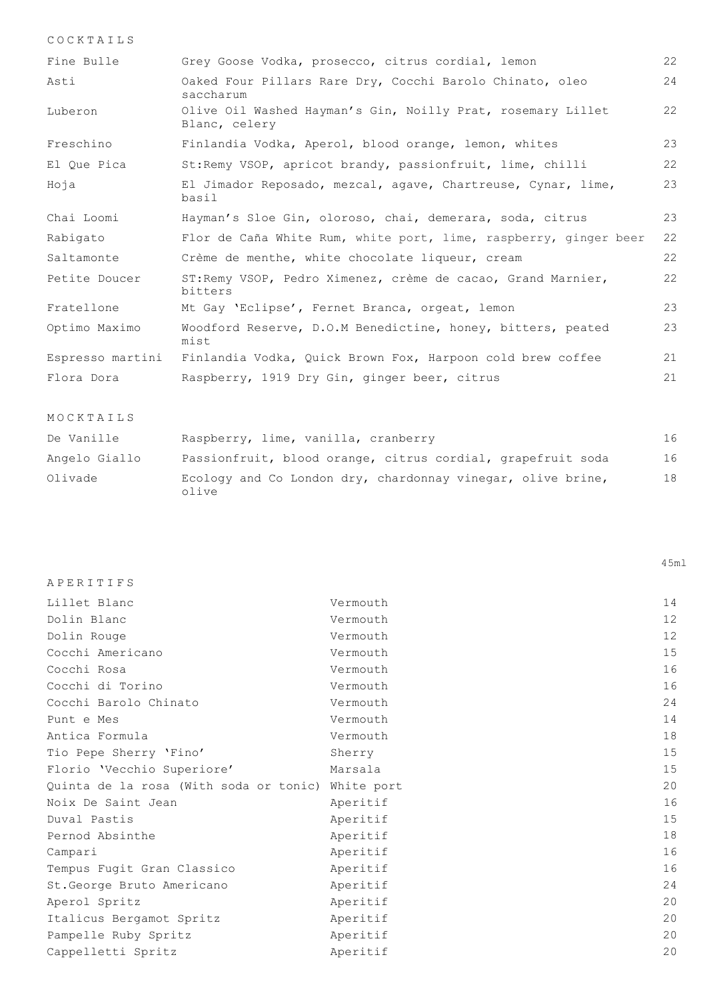| COCKTAILS        |                                                                              |    |
|------------------|------------------------------------------------------------------------------|----|
| Fine Bulle       | Grey Goose Vodka, prosecco, citrus cordial, lemon                            | 22 |
| Asti             | Oaked Four Pillars Rare Dry, Cocchi Barolo Chinato, oleo<br>saccharum        | 24 |
| Luberon          | Olive Oil Washed Hayman's Gin, Noilly Prat, rosemary Lillet<br>Blanc, celery | 22 |
| Freschino        | Finlandia Vodka, Aperol, blood orange, lemon, whites                         | 23 |
| El Oue Pica      | St: Remy VSOP, apricot brandy, passionfruit, lime, chilli                    | 22 |
| Hoja             | El Jimador Reposado, mezcal, agave, Chartreuse, Cynar, lime,<br>basil        | 23 |
| Chai Loomi       | Hayman's Sloe Gin, oloroso, chai, demerara, soda, citrus                     | 23 |
| Rabigato         | Flor de Caña White Rum, white port, lime, raspberry, ginger beer             | 22 |
| Saltamonte       | Crème de menthe, white chocolate liqueur, cream                              | 22 |
| Petite Doucer    | ST: Remy VSOP, Pedro Ximenez, crème de cacao, Grand Marnier,<br>bitters      | 22 |
| Fratellone       | Mt Gay 'Eclipse', Fernet Branca, orgeat, lemon                               | 23 |
| Optimo Maximo    | Woodford Reserve, D.O.M Benedictine, honey, bitters, peated<br>mist          | 23 |
| Espresso martini | Finlandia Vodka, Quick Brown Fox, Harpoon cold brew coffee                   | 21 |
| Flora Dora       | Raspberry, 1919 Dry Gin, ginger beer, citrus                                 | 21 |

| De Vanille    | Raspberry, lime, vanilla, cranberry                                  | 16 |
|---------------|----------------------------------------------------------------------|----|
| Angelo Giallo | Passionfruit, blood orange, citrus cordial, grapefruit soda          | 16 |
| Olivade       | Ecology and Co London dry, chardonnay vinegar, olive brine,<br>olive | 18 |

45ml

MOCKTAILS

| APERITIFS                                         |          |    |
|---------------------------------------------------|----------|----|
| Lillet Blanc                                      | Vermouth | 14 |
| Dolin Blanc                                       | Vermouth | 12 |
| Dolin Rouge                                       | Vermouth | 12 |
| Cocchi Americano                                  | Vermouth | 15 |
| Cocchi Rosa                                       | Vermouth | 16 |
| Cocchi di Torino                                  | Vermouth | 16 |
| Cocchi Barolo Chinato                             | Vermouth | 24 |
| Punt e Mes                                        | Vermouth | 14 |
| Antica Formula                                    | Vermouth | 18 |
| Tio Pepe Sherry 'Fino'                            | Sherry   | 15 |
| Florio 'Vecchio Superiore'                        | Marsala  | 15 |
| Quinta de la rosa (With soda or tonic) White port |          | 20 |
| Noix De Saint Jean                                | Aperitif | 16 |
| Duval Pastis                                      | Aperitif | 15 |
| Pernod Absinthe                                   | Aperitif | 18 |
| Campari                                           | Aperitif | 16 |
| Tempus Fugit Gran Classico                        | Aperitif | 16 |
| St. George Bruto Americano                        | Aperitif | 24 |
| Aperol Spritz                                     | Aperitif | 20 |
| Italicus Bergamot Spritz                          | Aperitif | 20 |
| Pampelle Ruby Spritz                              | Aperitif | 20 |
| Cappelletti Spritz                                | Aperitif | 20 |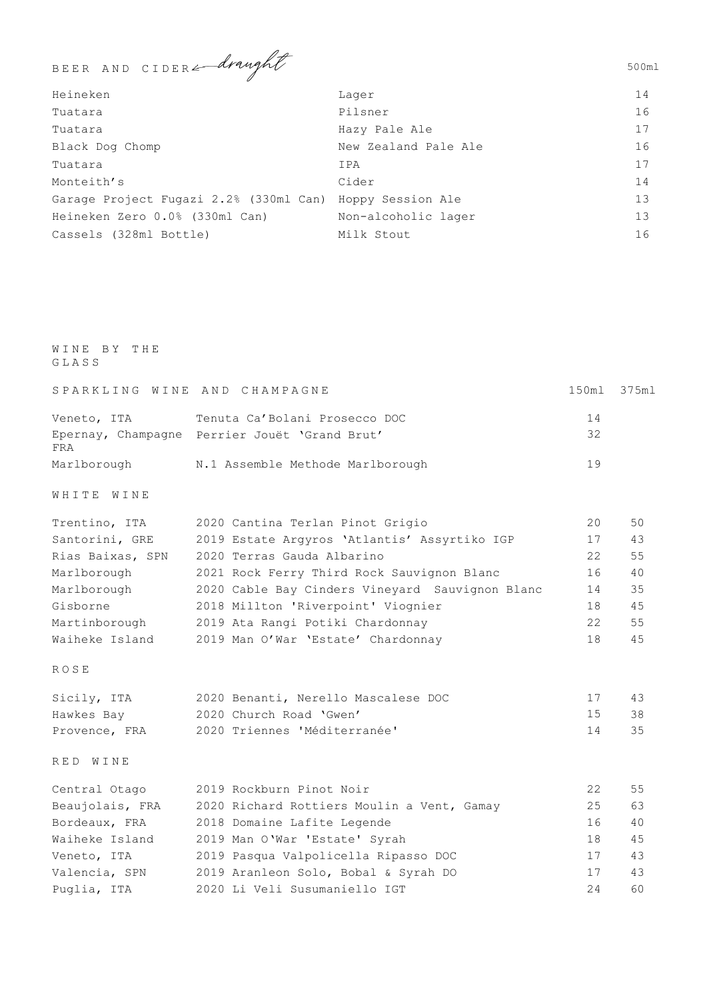BEER AND CIDER *draught* 

| Heineken                               | Lager                | 14              |
|----------------------------------------|----------------------|-----------------|
| Tuatara                                | Pilsner              | 16              |
| Tuatara                                | Hazy Pale Ale        | 17              |
| Black Dog Chomp                        | New Zealand Pale Ale | 16              |
| Tuatara                                | IPA                  | 17              |
| Monteith's                             | Cider                | 14              |
| Garage Project Fugazi 2.2% (330ml Can) | Hoppy Session Ale    | 13 <sup>°</sup> |
| Heineken Zero 0.0% (330ml Can)         | Non-alcoholic lager  | 13 <sup>°</sup> |
| Cassels (328ml Bottle)                 | Milk Stout           | 16              |

## WINE BY THE GLASS

|             | SPARKLING WINE AND CHAMPAGNE                  | 150ml 375ml |  |
|-------------|-----------------------------------------------|-------------|--|
| Veneto, ITA | Tenuta Ca'Bolani Prosecco DOC                 | 14          |  |
| FRA         | Epernay, Champagne Perrier Jouët 'Grand Brut' | 32          |  |
| Marlborough | N.1 Assemble Methode Marlborough              | 19          |  |

WHITE WINE

| Trentino, ITA    | 2020 Cantina Terlan Pinot Grigio                | 20 | 50  |
|------------------|-------------------------------------------------|----|-----|
| Santorini, GRE   | 2019 Estate Argyros 'Atlantis' Assyrtiko IGP    | 17 | 43  |
| Rias Baixas, SPN | 2020 Terras Gauda Albarino                      | 22 | 55  |
| Marlborough      | 2021 Rock Ferry Third Rock Sauvignon Blanc      | 16 | 40  |
| Marlborough      | 2020 Cable Bay Cinders Vineyard Sauvignon Blanc | 14 | 35  |
| Gisborne         | 2018 Millton 'Riverpoint' Viognier              | 18 | 4.5 |
| Martinborough    | 2019 Ata Rangi Potiki Chardonnay                | 22 | 55  |
| Waiheke Island   | 2019 Man O'War 'Estate' Chardonnay              | 18 | 45  |
|                  |                                                 |    |     |

## ROSE

| Sicily, ITA   | 2020 Benanti, Nerello Mascalese DOC |    | 43   |
|---------------|-------------------------------------|----|------|
| Hawkes Bay    | 2020 Church Road 'Gwen'             | 15 | -38  |
| Provence, FRA | 2020 Triennes 'Méditerranée'        | 14 | - 35 |

RED WINE

| Central Otago   | 2019 Rockburn Pinot Noir                   | 22 | 55  |
|-----------------|--------------------------------------------|----|-----|
| Beaujolais, FRA | 2020 Richard Rottiers Moulin a Vent, Gamay | 25 | 63  |
| Bordeaux, FRA   | 2018 Domaine Lafite Legende                | 16 | 40  |
| Waiheke Island  | 2019 Man O'War 'Estate' Syrah              | 18 | 4.5 |
| Veneto, ITA     | 2019 Pasqua Valpolicella Ripasso DOC       | 17 | 43  |
| Valencia, SPN   | 2019 Aranleon Solo, Bobal & Syrah DO       | 17 | 43  |
| Puglia, ITA     | 2020 Li Veli Susumaniello IGT              | 24 | 60  |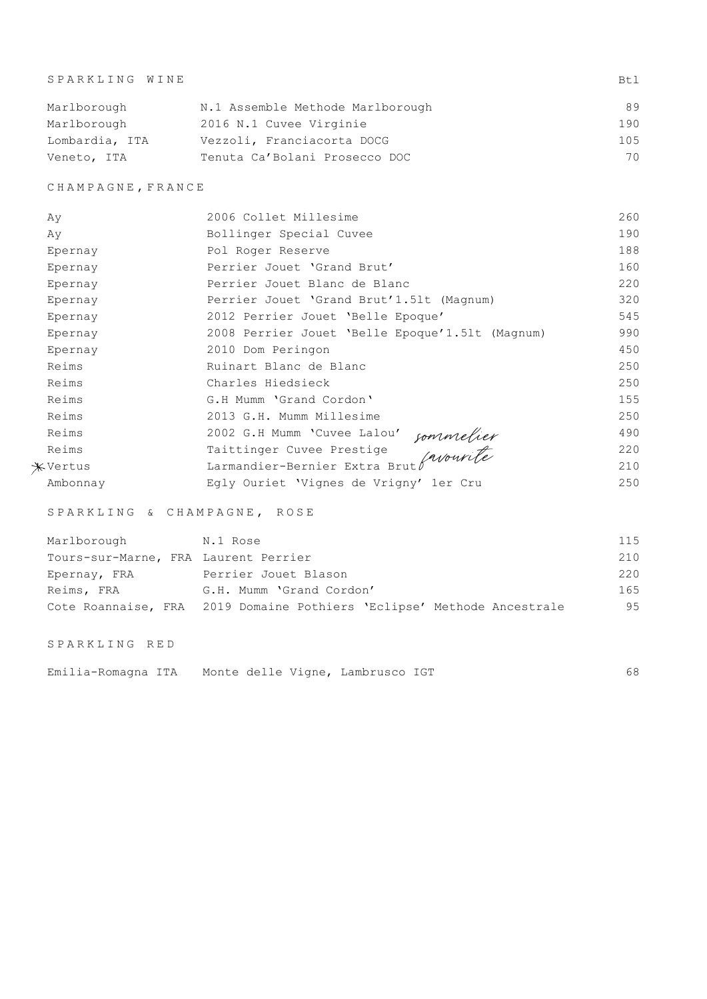| SPARKLING WINE |                                  | Bt.1 |
|----------------|----------------------------------|------|
| Marlborough    | N.1 Assemble Methode Marlborough | 89   |
| Marlborough    | 2016 N.1 Cuvee Virginie          | 190  |
| Lombardia, ITA | Vezzoli, Franciacorta DOCG       | 105  |
| Veneto, ITA    | Tenuta Ca'Bolani Prosecco DOC    | 70   |

CHAMPAGNE,FRANCE

| Ay       | 2006 Collet Millesime                                                | 260 |
|----------|----------------------------------------------------------------------|-----|
| Ay       | Bollinger Special Cuvee                                              | 190 |
| Epernay  | Pol Roger Reserve                                                    | 188 |
| Epernay  | Perrier Jouet 'Grand Brut'                                           | 160 |
| Epernay  | Perrier Jouet Blanc de Blanc                                         | 220 |
| Epernay  | Perrier Jouet 'Grand Brut'1.51t (Magnum)                             | 320 |
| Epernay  | 2012 Perrier Jouet 'Belle Epoque'                                    | 545 |
| Epernay  | 2008 Perrier Jouet 'Belle Epoque'1.51t (Magnum)                      | 990 |
| Epernay  | 2010 Dom Peringon                                                    | 450 |
| Reims    | Ruinart Blanc de Blanc                                               | 250 |
| Reims    | Charles Hiedsieck                                                    | 250 |
| Reims    | G.H Mumm 'Grand Cordon'                                              | 155 |
| Reims    | 2013 G.H. Mumm Millesime                                             | 250 |
| Reims    |                                                                      | 490 |
| Reims    |                                                                      | 220 |
| *Vertus  | Sommelier<br>Larmandier-Bernier Extra Brut (avourite<br>Ty Ouriet Wi | 210 |
| Ambonnay |                                                                      | 250 |

SPARKLING & CHAMPAGNE, ROSE

| Marlborough                          | N.1 Rose                                                               | 115 |
|--------------------------------------|------------------------------------------------------------------------|-----|
| Tours-sur-Marne, FRA Laurent Perrier |                                                                        | 210 |
| Epernay, FRA                         | Perrier Jouet Blason                                                   | 220 |
| Reims, FRA                           | G.H. Mumm 'Grand Cordon'                                               | 165 |
|                                      | Cote Roannaise, FRA 2019 Domaine Pothiers 'Eclipse' Methode Ancestrale | 95  |

SPARKLING RED

| Emilia-Romagna ITA | Monte delle Vigne, Lambrusco IGT |  |  |
|--------------------|----------------------------------|--|--|
|--------------------|----------------------------------|--|--|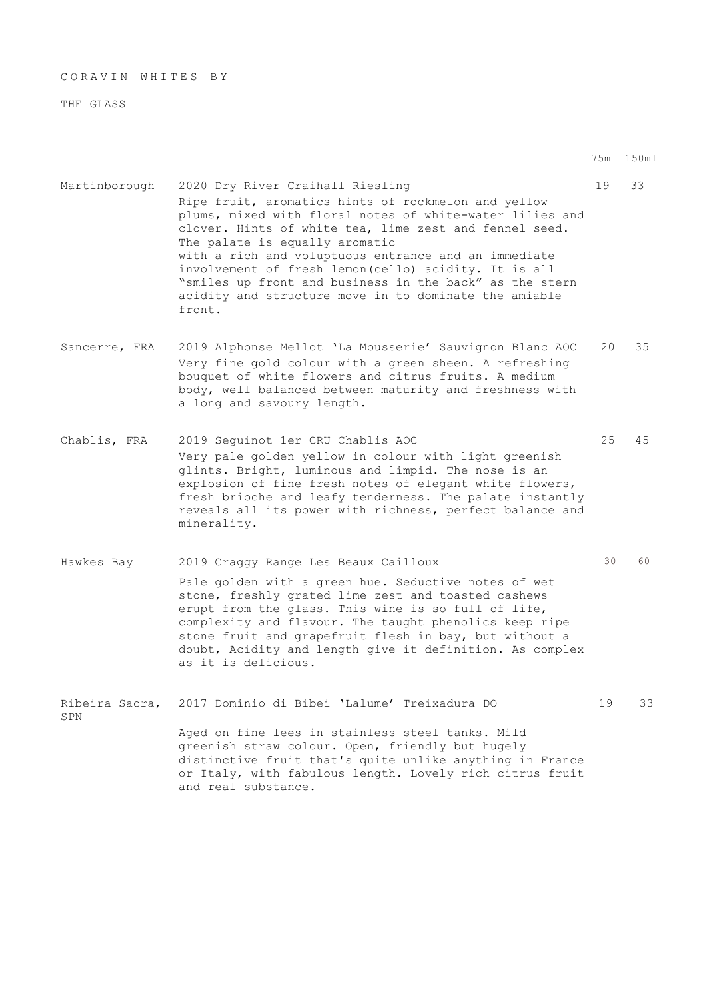CORAVIN WHITES BY

THE GLASS

75ml 150ml

- Martinborough 2020 Dry River Craihall Riesling 19 33 Ripe fruit, aromatics hints of rockmelon and yellow plums, mixed with floral notes of white-water lilies and clover. Hints of white tea, lime zest and fennel seed. The palate is equally aromatic with a rich and voluptuous entrance and an immediate involvement of fresh lemon(cello) acidity. It is all "smiles up front and business in the back" as the stern acidity and structure move in to dominate the amiable front.
- Sancerre, FRA 2019 Alphonse Mellot 'La Mousserie' Sauvignon Blanc AOC 20 35 Very fine gold colour with a green sheen. A refreshing bouquet of white flowers and citrus fruits. A medium body, well balanced between maturity and freshness with a long and savoury length.
- Chablis, FRA 2019 Seguinot 1er CRU Chablis AOC 25 45 Very pale golden yellow in colour with light greenish glints. Bright, luminous and limpid. The nose is an explosion of fine fresh notes of elegant white flowers, fresh brioche and leafy tenderness. The palate instantly reveals all its power with richness, perfect balance and minerality.
- Hawkes Bay 30 2019 Craggy Range Les Beaux Cailloux 30 30 60 Pale golden with a green hue. Seductive notes of wet stone, freshly grated lime zest and toasted cashews erupt from the glass. This wine is so full of life, complexity and flavour. The taught phenolics keep ripe stone fruit and grapefruit flesh in bay, but without a doubt, Acidity and length give it definition. As complex as it is delicious.

Ribeira Sacra, 2017 Dominio di Bibei 'Lalume' Treixadura DO 19 33 SPN Aged on fine lees in stainless steel tanks. Mild greenish straw colour. Open, friendly but hugely distinctive fruit that's quite unlike anything in France or Italy, with fabulous length. Lovely rich citrus fruit and real substance.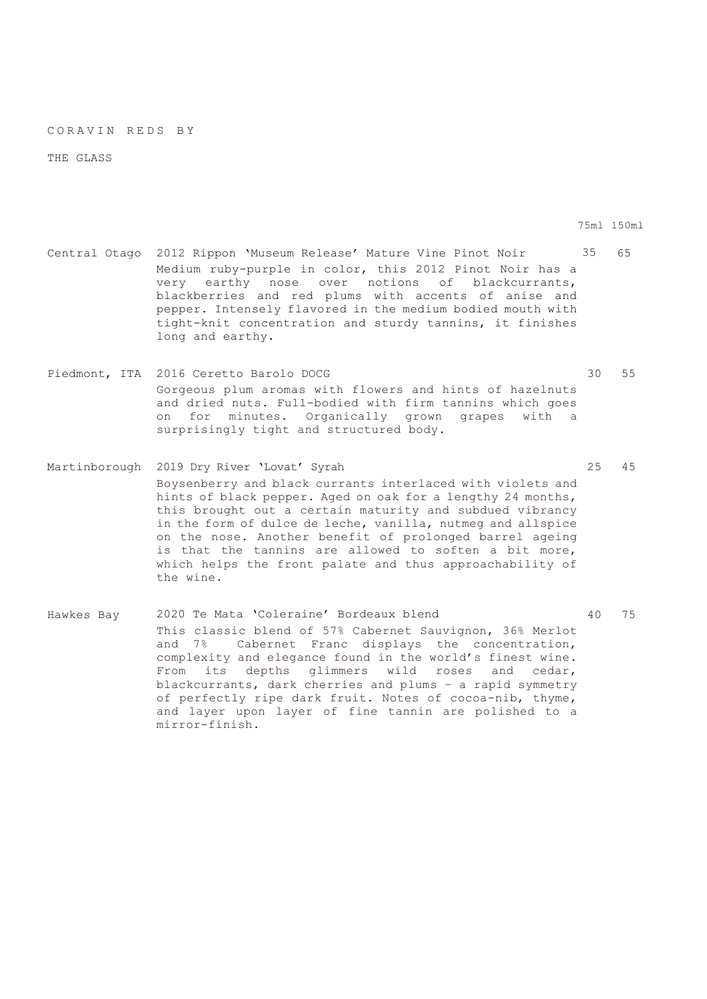#### CORAVIN REDS BY

THE GLASS

75ml 150ml

- Central Otago 2012 Rippon 'Museum Release' Mature Vine Pinot Noir 35 65 Medium ruby-purple in color, this 2012 Pinot Noir has a very earthy nose over notions of blackcurrants, blackberries and red plums with accents of anise and pepper. Intensely flavored in the medium bodied mouth with tight-knit concentration and sturdy tannins, it finishes long and earthy.
- Piedmont, ITA 2016 Ceretto Barolo DOCG 30 55 Gorgeous plum aromas with flowers and hints of hazelnuts and dried nuts. Full-bodied with firm tannins which goes on for minutes. Organically grown grapes with a surprisingly tight and structured body.
- Martinborough 2019 Dry River 'Lovat' Syrah 25 45 Boysenberry and black currants interlaced with violets and hints of black pepper. Aged on oak for a lengthy 24 months, this brought out a certain maturity and subdued vibrancy in the form of dulce de leche, vanilla, nutmeg and allspice on the nose. Another benefit of prolonged barrel ageing is that the tannins are allowed to soften a bit more, which helps the front palate and thus approachability of the wine.
- Hawkes Bay 2020 Te Mata 'Coleraine' Bordeaux blend 40 75 This classic blend of 57% Cabernet Sauvignon, 36% Merlot and 7% Cabernet Franc displays the concentration, complexity and elegance found in the world's finest wine. From its depths glimmers wild roses and cedar, blackcurrants, dark cherries and plums – a rapid symmetry of perfectly ripe dark fruit. Notes of cocoa-nib, thyme, and layer upon layer of fine tannin are polished to a mirror-finish.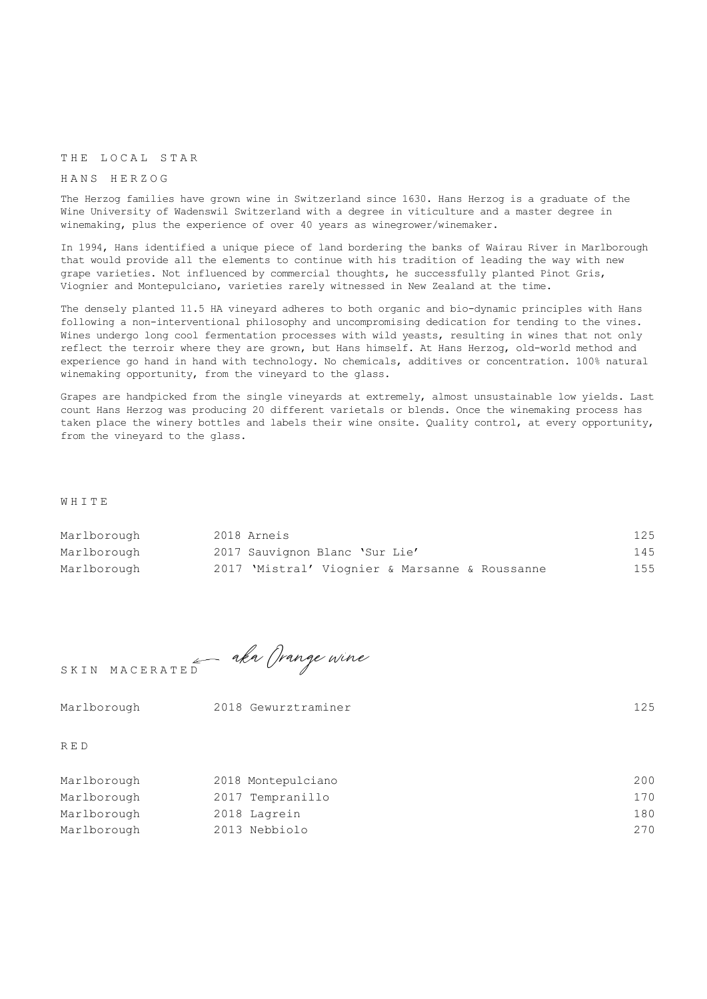## THE LOCAL STAR

### HANS HERZOG

The Herzog families have grown wine in Switzerland since 1630. Hans Herzog is a graduate of the Wine University of Wadenswil Switzerland with a degree in viticulture and a master degree in winemaking, plus the experience of over 40 years as winegrower/winemaker.

In 1994, Hans identified a unique piece of land bordering the banks of Wairau River in Marlborough that would provide all the elements to continue with his tradition of leading the way with new grape varieties. Not influenced by commercial thoughts, he successfully planted Pinot Gris, Viognier and Montepulciano, varieties rarely witnessed in New Zealand at the time.

The densely planted 11.5 HA vineyard adheres to both organic and bio-dynamic principles with Hans following a non-interventional philosophy and uncompromising dedication for tending to the vines. Wines undergo long cool fermentation processes with wild yeasts, resulting in wines that not only reflect the terroir where they are grown, but Hans himself. At Hans Herzog, old-world method and experience go hand in hand with technology. No chemicals, additives or concentration. 100% natural winemaking opportunity, from the vineyard to the glass.

Grapes are handpicked from the single vineyards at extremely, almost unsustainable low yields. Last count Hans Herzog was producing 20 different varietals or blends. Once the winemaking process has taken place the winery bottles and labels their wine onsite. Quality control, at every opportunity, from the vineyard to the glass.

WHITE

| Marlborough | 2018 Arneis                                    | 125 |
|-------------|------------------------------------------------|-----|
| Marlborough | 2017 Sauvignon Blanc 'Sur Lie'                 | 145 |
| Marlborough | 2017 'Mistral' Viognier & Marsanne & Roussanne | 155 |

SKIN MACERATED aka Grange wine

| Marlborough | 2018 Gewurztraminer | 125 |
|-------------|---------------------|-----|
| RED         |                     |     |
| Marlborough | 2018 Montepulciano  | 200 |
| Marlborough | 2017 Tempranillo    | 170 |

| Marlborough | 2018 Lagrein | 180 |
|-------------|--------------|-----|
|             |              |     |

Marlborough 2013 Nebbiolo 270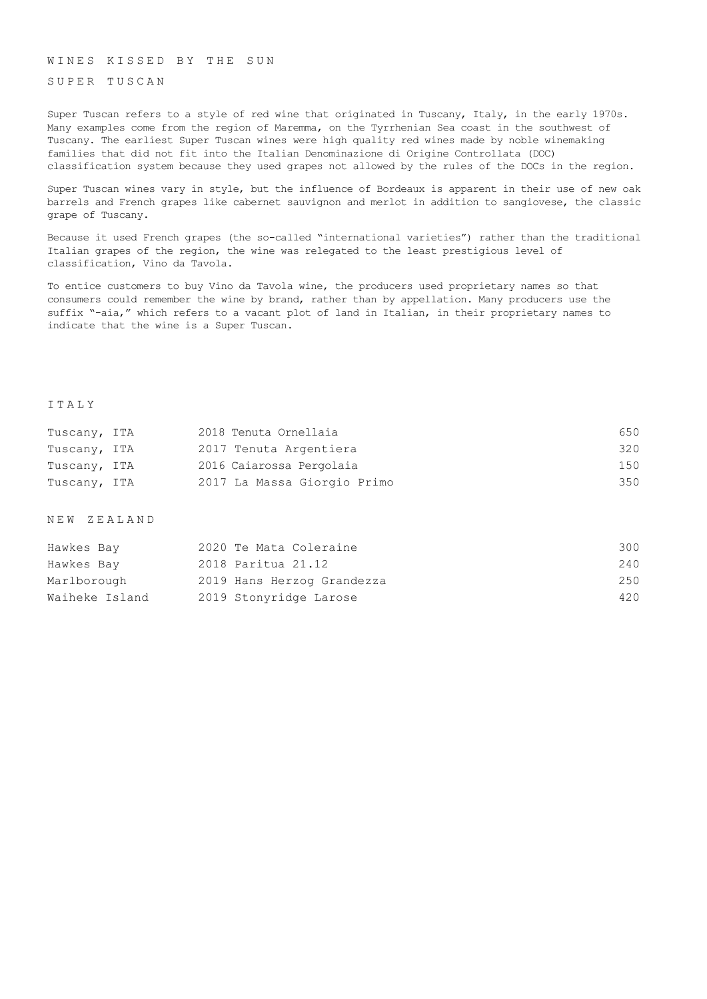WINES KISSED BY THE SUN

SUPER TUSCAN

Super Tuscan refers to a style of red wine that originated in Tuscany, Italy, in the early 1970s. Many examples come from the region of Maremma, on the Tyrrhenian Sea coast in the southwest of Tuscany. The earliest Super Tuscan wines were high quality red wines made by noble winemaking families that did not fit into the Italian Denominazione di Origine Controllata (DOC) classification system because they used grapes not allowed by the rules of the DOCs in the region.

Super Tuscan wines vary in style, but the influence of Bordeaux is apparent in their use of new oak barrels and French grapes like cabernet sauvignon and merlot in addition to sangiovese, the classic grape of Tuscany.

Because it used French grapes (the so-called "international varieties") rather than the traditional Italian grapes of the region, the wine was relegated to the least prestigious level of classification, Vino da Tavola.

To entice customers to buy Vino da Tavola wine, the producers used proprietary names so that consumers could remember the wine by brand, rather than by appellation. Many producers use the suffix "-aia," which refers to a vacant plot of land in Italian, in their proprietary names to indicate that the wine is a Super Tuscan.

#### ITALY

| Tuscany, ITA | 2018 Tenuta Ornellaia       | 650 |
|--------------|-----------------------------|-----|
| Tuscany, ITA | 2017 Tenuta Argentiera      | 320 |
| Tuscany, ITA | 2016 Caiarossa Pergolaia    | 150 |
| Tuscany, ITA | 2017 La Massa Giorgio Primo | 350 |

NEW ZEALAND

| Hawkes Bay     | 2020 Te Mata Coleraine     | 300 |
|----------------|----------------------------|-----|
| Hawkes Bay     | 2018 Paritua 21.12         | 240 |
| Marlborough    | 2019 Hans Herzog Grandezza | 250 |
| Waiheke Island | 2019 Stonyridge Larose     | 420 |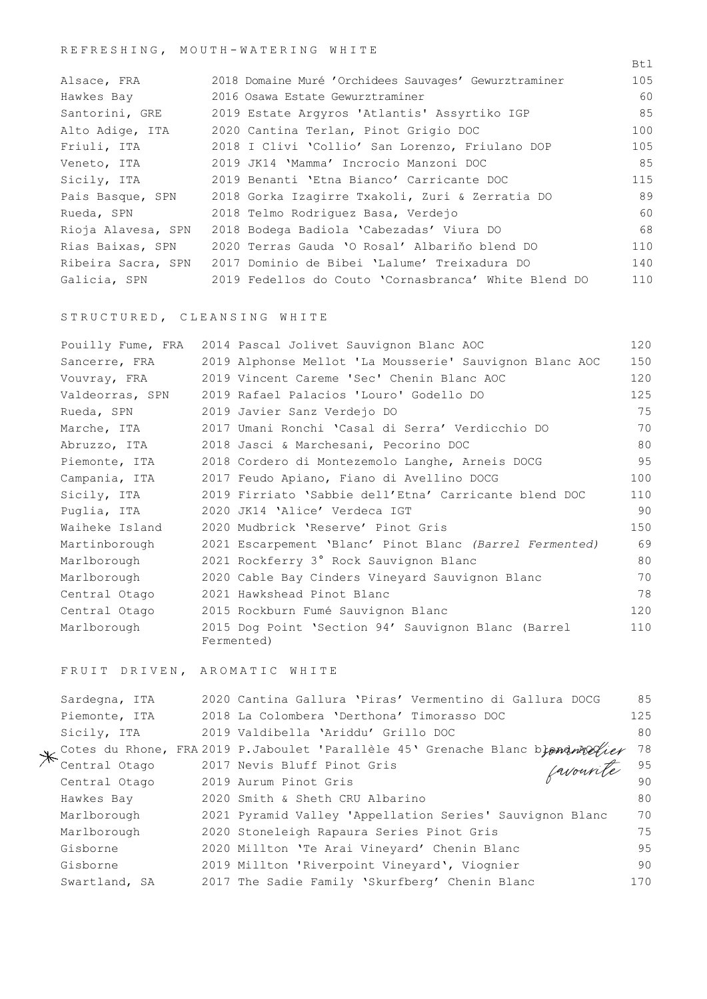# REFRESHING, MOUTH - W A TERING WHITE

| Alsace, FRA        | 2018 Domaine Muré 'Orchidees Sauvages' Gewurztraminer           | 105 |
|--------------------|-----------------------------------------------------------------|-----|
| Hawkes Bay         | 2016 Osawa Estate Gewurztraminer                                | 60  |
| Santorini, GRE     | 2019 Estate Argyros 'Atlantis' Assyrtiko IGP                    | 85  |
| Alto Adige, ITA    | 2020 Cantina Terlan, Pinot Grigio DOC                           | 100 |
| Friuli, ITA        | 2018 I Clivi 'Collio' San Lorenzo, Friulano DOP                 | 105 |
| Veneto, ITA        | 2019 JK14 'Mamma' Incrocio Manzoni DOC                          | 85  |
| Sicily, ITA        | 2019 Benanti 'Etna Bianco' Carricante DOC                       | 115 |
| Pais Basque, SPN   | 2018 Gorka Izagirre Txakoli, Zuri & Zerratia DO                 | 89  |
| Rueda, SPN         | 2018 Telmo Rodriquez Basa, Verdejo                              | 60  |
| Rioja Alavesa, SPN | 2018 Bodega Badiola 'Cabezadas' Viura DO                        | 68  |
| Rias Baixas, SPN   | 2020 Terras Gauda 'O Rosal' Albariño blend DO                   | 110 |
|                    | Ribeira Sacra, SPN 2017 Dominio de Bibei 'Lalume' Treixadura DO | 140 |
| Galicia, SPN       | 2019 Fedellos do Couto 'Cornasbranca' White Blend DO            | 110 |

Btl

STRUCTURED, CLEANSING WHITE

| Pouilly Fume, FRA | 2014 Pascal Jolivet Sauvignon Blanc AOC                           | 120 |
|-------------------|-------------------------------------------------------------------|-----|
| Sancerre, FRA     | 2019 Alphonse Mellot 'La Mousserie' Sauvignon Blanc AOC           | 150 |
| Vouvray, FRA      | 2019 Vincent Careme 'Sec' Chenin Blanc AOC                        | 120 |
| Valdeorras, SPN   | 2019 Rafael Palacios 'Louro' Godello DO                           | 125 |
| Rueda, SPN        | 2019 Javier Sanz Verdejo DO                                       | 75  |
| Marche, ITA       | 2017 Umani Ronchi 'Casal di Serra' Verdicchio DO                  | 70  |
| Abruzzo, ITA      | 2018 Jasci & Marchesani, Pecorino DOC                             | 80  |
| Piemonte, ITA     | 2018 Cordero di Montezemolo Langhe, Arneis DOCG                   | 95  |
| Campania, ITA     | 2017 Feudo Apiano, Fiano di Avellino DOCG                         | 100 |
| Sicily, ITA       | 2019 Firriato 'Sabbie dell'Etna' Carricante blend DOC             | 110 |
| Puglia, ITA       | 2020 JK14 'Alice' Verdeca IGT                                     | 90  |
| Waiheke Island    | 2020 Mudbrick 'Reserve' Pinot Gris                                | 150 |
| Martinborough     | 2021 Escarpement 'Blanc' Pinot Blanc (Barrel Fermented)           | 69  |
| Marlborough       | 2021 Rockferry 3° Rock Sauvignon Blanc                            | 80  |
| Marlborough       | 2020 Cable Bay Cinders Vineyard Sauvignon Blanc                   | 70  |
| Central Otago     | 2021 Hawkshead Pinot Blanc                                        | 78  |
| Central Otago     | 2015 Rockburn Fumé Sauvignon Blanc                                | 120 |
| Marlborough       | 2015 Dog Point 'Section 94' Sauvignon Blanc (Barrel<br>Fermented) | 110 |

FRUIT DRIVEN, AROMATIC WHITE

| Sardegna, ITA | 2020 Cantina Gallura 'Piras' Vermentino di Gallura DOCG                           | 85  |
|---------------|-----------------------------------------------------------------------------------|-----|
| Piemonte, ITA | 2018 La Colombera 'Derthona' Timorasso DOC                                        | 125 |
| Sicily, ITA   | 2019 Valdibella 'Ariddu' Grillo DOC                                               | 80  |
|               | V Cotes du Rhone, FRA 2019 P. Jaboulet 'Parallèle 45' Grenache Blanc biond molier | 78  |
| Central Otago | favourité<br>2017 Nevis Bluff Pinot Gris                                          | 95  |
| Central Otago | 2019 Aurum Pinot Gris                                                             | 90  |
| Hawkes Bay    | 2020 Smith & Sheth CRU Albarino                                                   | 80  |
| Marlborough   | 2021 Pyramid Valley 'Appellation Series' Sauvignon Blanc                          | 70  |
| Marlborough   | 2020 Stoneleigh Rapaura Series Pinot Gris                                         | 75  |
| Gisborne      | 2020 Millton 'Te Arai Vineyard' Chenin Blanc                                      | 95  |
| Gisborne      | 2019 Millton 'Riverpoint Vineyard', Viognier                                      | 90  |
| Swartland, SA | 2017 The Sadie Family 'Skurfberg' Chenin Blanc                                    | 170 |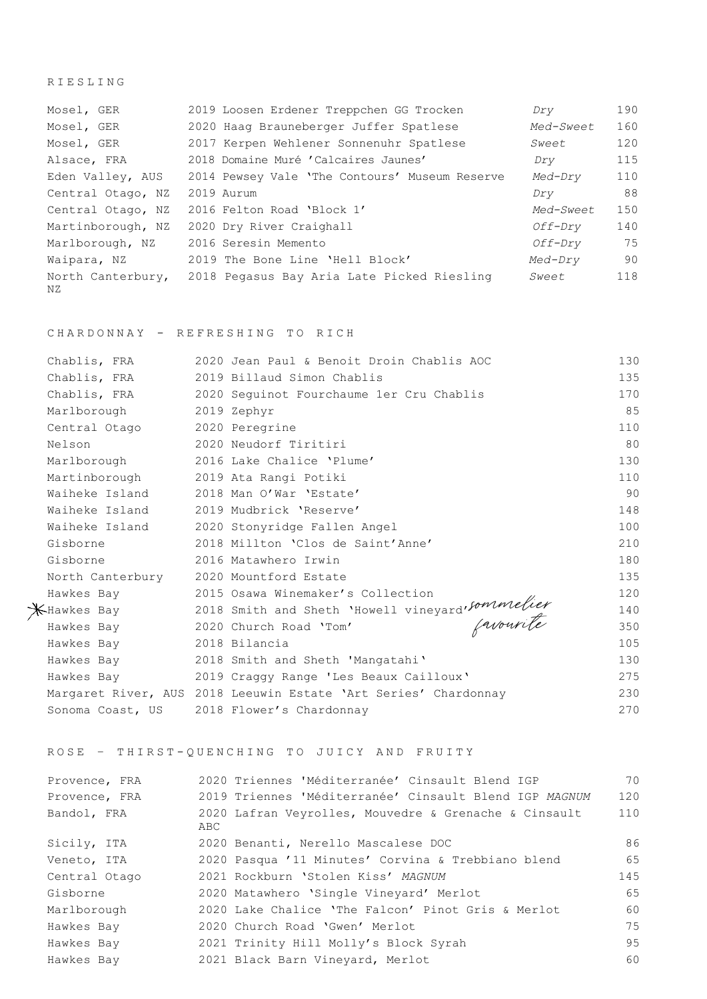RIESLING

| Mosel, GER              | 2019 Loosen Erdener Treppchen GG Trocken       | Dry            | 190 |
|-------------------------|------------------------------------------------|----------------|-----|
| Mosel, GER              | 2020 Haag Brauneberger Juffer Spatlese         | Med-Sweet      | 160 |
| Mosel, GER              | 2017 Kerpen Wehlener Sonnenuhr Spatlese        | Sweet          | 120 |
| Alsace, FRA             | 2018 Domaine Muré 'Calcaires Jaunes'           | Dry            | 115 |
| Eden Valley, AUS        | 2014 Pewsey Vale 'The Contours' Museum Reserve | Med-Dry        | 110 |
| Central Otago, NZ       | 2019 Aurum                                     | Dry            | 88  |
| Central Otago, NZ       | 2016 Felton Road 'Block 1'                     | Med-Sweet      | 150 |
| Martinborough, NZ       | 2020 Dry River Craighall                       | <i>Off-Dry</i> | 140 |
| Marlborough, NZ         | 2016 Seresin Memento                           | <i>Off-Dry</i> | 75  |
| Waipara, NZ             | 2019 The Bone Line 'Hell Block'                | Med-Dry        | 90  |
| North Canterbury,<br>ΝZ | 2018 Pegasus Bay Aria Late Picked Riesling     | Sweet          | 118 |

CHARDONNAY - REFRESH ING TO RICH

|  | Chablis, FRA                           | 2020 Jean Paul & Benoit Droin Chablis AOC                                                                   | 130 |
|--|----------------------------------------|-------------------------------------------------------------------------------------------------------------|-----|
|  | Chablis, FRA                           | 2019 Billaud Simon Chablis                                                                                  | 135 |
|  | Chablis, FRA                           | 2020 Sequinot Fourchaume 1er Cru Chablis                                                                    | 170 |
|  | Marlborough                            | 2019 Zephyr                                                                                                 | 85  |
|  | Central Otago                          | 2020 Peregrine                                                                                              | 110 |
|  | Nelson                                 | 2020 Neudorf Tiritiri                                                                                       | 80  |
|  | Marlborough                            | 2016 Lake Chalice 'Plume'                                                                                   | 130 |
|  | Martinborough 2019 Ata Rangi Potiki    |                                                                                                             | 110 |
|  | Waiheke Island                         | 2018 Man O'War 'Estate'                                                                                     | 90  |
|  | Waiheke Island 2019 Mudbrick 'Reserve' |                                                                                                             | 148 |
|  |                                        | Waiheke Island 2020 Stonyridge Fallen Angel                                                                 | 100 |
|  | Gisborne                               | 2018 Millton 'Clos de Saint'Anne'                                                                           | 210 |
|  | Gisborne                               | 2016 Matawhero Irwin                                                                                        | 180 |
|  | North Canterbury 2020 Mountford Estate |                                                                                                             | 135 |
|  | Hawkes Bay                             | 2015 Osawa Winemaker's Collection                                                                           | 120 |
|  |                                        |                                                                                                             | 140 |
|  |                                        | X-Hawkes Bay 2018 Smith and Sheth 'Howell vineyard'sommelier<br>Hawkes Bay 2020 Church Road 'Tom' favourite | 350 |
|  | Hawkes Bay                             | 2018 Bilancia                                                                                               | 105 |
|  | Hawkes Bay                             | 2018 Smith and Sheth 'Mangatahi'                                                                            | 130 |
|  | Hawkes Bay                             | 2019 Craggy Range 'Les Beaux Cailloux'                                                                      | 275 |
|  |                                        | Margaret River, AUS 2018 Leeuwin Estate 'Art Series' Chardonnay                                             | 230 |
|  |                                        | Sonoma Coast, US 2018 Flower's Chardonnay                                                                   | 270 |

ROSE – THIRST - QUENCHING TO JUICY AND FRUITY

| Provence, FRA | 2020 Triennes 'Méditerranée' Cinsault Blend IGP              | 70  |
|---------------|--------------------------------------------------------------|-----|
| Provence, FRA | 2019 Triennes 'Méditerranée' Cinsault Blend IGP MAGNUM       | 120 |
| Bandol, FRA   | 2020 Lafran Veyrolles, Mouvedre & Grenache & Cinsault<br>ABC | 110 |
| Sicily, ITA   | 2020 Benanti, Nerello Mascalese DOC                          | 86  |
| Veneto, ITA   | 2020 Pasqua '11 Minutes' Corvina & Trebbiano blend           | 65  |
| Central Otago | 2021 Rockburn 'Stolen Kiss' MAGNUM                           | 145 |
| Gisborne      | 2020 Matawhero 'Single Vineyard' Merlot                      | 65  |
| Marlborough   | 2020 Lake Chalice 'The Falcon' Pinot Gris & Merlot           | 60  |
| Hawkes Bay    | 2020 Church Road 'Gwen' Merlot                               | 75  |
| Hawkes Bay    | 2021 Trinity Hill Molly's Block Syrah                        | 95  |
| Hawkes Bay    | 2021 Black Barn Vineyard, Merlot                             | 60  |
|               |                                                              |     |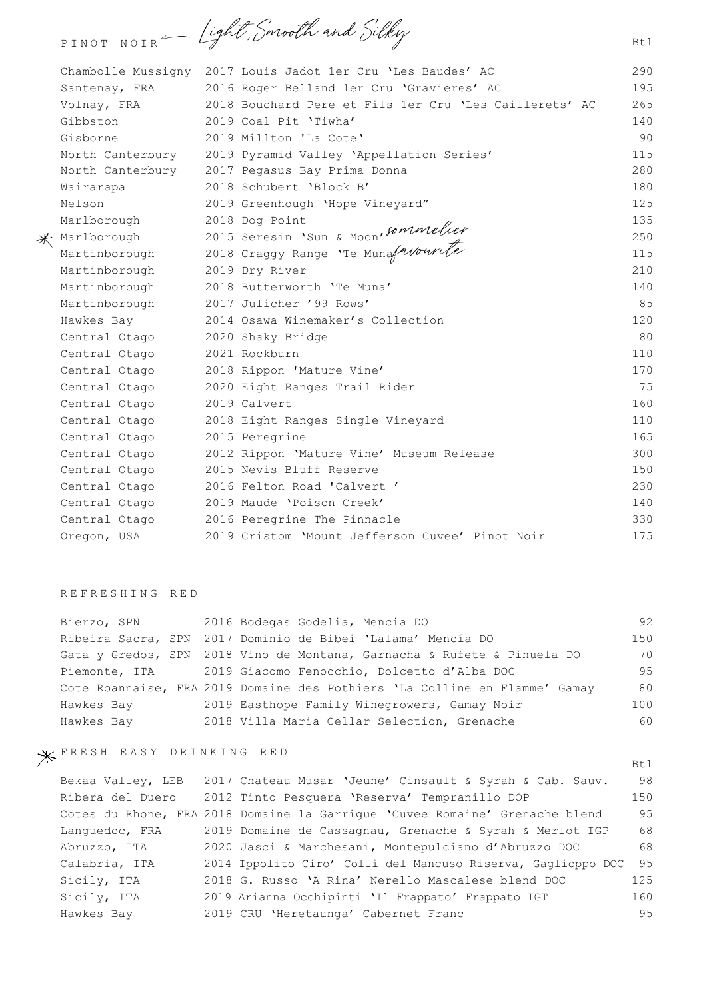PINOT NOIR - light, Smooth and Silky

|                                 | Chambolle Mussigny 2017 Louis Jadot 1er Cru 'Les Baudes' AC                                         | 290 |
|---------------------------------|-----------------------------------------------------------------------------------------------------|-----|
| Santenay, FRA                   | 2016 Roger Belland 1er Cru 'Gravieres' AC                                                           | 195 |
| Volnay, FRA                     | 2018 Bouchard Pere et Fils 1er Cru 'Les Caillerets' AC                                              | 265 |
| Gibbston                        | 2019 Coal Pit 'Tiwha'                                                                               | 140 |
| Gisborne                        | 2019 Millton 'La Cote'                                                                              | 90  |
| North Canterbury                | 2019 Pyramid Valley 'Appellation Series'                                                            | 115 |
|                                 | North Canterbury 2017 Pegasus Bay Prima Donna                                                       | 280 |
| Wairarapa                       | 2018 Schubert 'Block B'                                                                             | 180 |
| Nelson                          | 2019 Greenhough 'Hope Vineyard"                                                                     | 125 |
| Marlborough                     | 2018 Dog Point                                                                                      | 135 |
| $*$ Marlborough                 | Marlborough 2015 Seresin 'Sun & Moon'Sommelier<br>Martinborough 2018 Craggy Range 'Te Munafavourite | 250 |
|                                 |                                                                                                     | 115 |
| Martinborough                   | 2019 Dry River                                                                                      | 210 |
| Martinborough                   | 2018 Butterworth 'Te Muna'                                                                          | 140 |
| Martinborough                   | 2017 Julicher '99 Rows'                                                                             | 85  |
| Hawkes Bay                      | 2014 Osawa Winemaker's Collection                                                                   | 120 |
| Central Otago 2020 Shaky Bridge |                                                                                                     | 80  |
| Central Otago                   | 2021 Rockburn                                                                                       | 110 |
| Central Otago                   | 2018 Rippon 'Mature Vine'                                                                           | 170 |
| Central Otago                   | 2020 Eight Ranges Trail Rider                                                                       | 75  |
| Central Otago                   | 2019 Calvert                                                                                        | 160 |
| Central Otago                   | 2018 Eight Ranges Single Vineyard                                                                   | 110 |
| Central Otago                   | 2015 Peregrine                                                                                      | 165 |
| Central Otago                   | 2012 Rippon 'Mature Vine' Museum Release                                                            | 300 |
| Central Otago                   | 2015 Nevis Bluff Reserve                                                                            | 150 |
| Central Otago                   | 2016 Felton Road 'Calvert'                                                                          | 230 |
| Central Otago                   | 2019 Maude 'Poison Creek'                                                                           | 140 |
| Central Otago                   | 2016 Peregrine The Pinnacle                                                                         | 330 |
| Oregon, USA                     | 2019 Cristom 'Mount Jefferson Cuvee' Pinot Noir                                                     | 175 |

## REFRESHING RED

| Bierzo, SPN | 2016 Bodegas Godelia, Mencia DO                                            | 92  |
|-------------|----------------------------------------------------------------------------|-----|
|             | Ribeira Sacra, SPN 2017 Dominio de Bibei 'Lalama' Mencía DO                | 150 |
|             | Gata y Gredos, SPN 2018 Vino de Montana, Garnacha & Rufete & Pinuela DO    | 70  |
|             | Piemonte, ITA 2019 Giacomo Fenocchio, Dolcetto d'Alba DOC                  | 95  |
|             | Cote Roannaise, FRA 2019 Domaine des Pothiers 'La Colline en Flamme' Gamay | 80  |
| Hawkes Bay  | 2019 Easthope Family Winegrowers, Gamay Noir                               | 100 |
| Hawkes Bay  | 2018 Villa Maria Cellar Selection, Grenache                                | 60  |

# FRESH EASY DRINKING RED

| Bekaa Valley, LEB | 2017 Chateau Musar 'Jeune' Cinsault & Syrah & Cab. Sauv.                    | 98  |
|-------------------|-----------------------------------------------------------------------------|-----|
| Ribera del Duero  | 2012 Tinto Pesquera 'Reserva' Tempranillo DOP                               | 150 |
|                   | Cotes du Rhone, FRA 2018 Domaine la Garrique 'Cuvee Romaine' Grenache blend | 95  |
| Lanquedoc, FRA    | 2019 Domaine de Cassagnau, Grenache & Syrah & Merlot IGP                    | 68  |
| Abruzzo, ITA      | 2020 Jasci & Marchesani, Montepulciano d'Abruzzo DOC                        | 68  |
| Calabria, ITA     | 2014 Ippolito Ciro' Colli del Mancuso Riserva, Gaglioppo DOC                | 95  |
| Sicily, ITA       | 2018 G. Russo 'A Rina' Nerello Mascalese blend DOC                          | 125 |
| Sicily, ITA       | 2019 Arianna Occhipinti 'Il Frappato' Frappato IGT                          | 160 |
| Hawkes Bay        | 2019 CRU 'Heretaunga' Cabernet Franc                                        | 9.5 |

Btl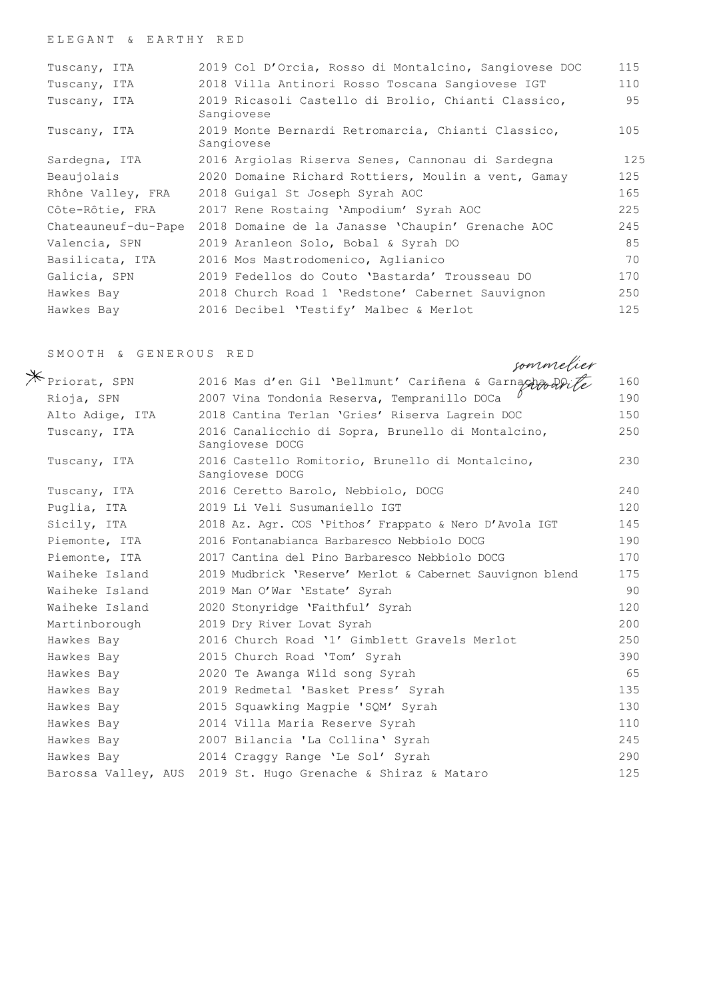### ELEGANT & EARTHY RED

| Tuscany, ITA        | 2019 Col D'Orcia, Rosso di Montalcino, Sangiovese DOC             | 115 |
|---------------------|-------------------------------------------------------------------|-----|
| Tuscany, ITA        | 2018 Villa Antinori Rosso Toscana Sangiovese IGT                  | 110 |
| Tuscany, ITA        | 2019 Ricasoli Castello di Brolio, Chianti Classico,<br>Sangiovese | 95  |
| Tuscany, ITA        | 2019 Monte Bernardi Retromarcia, Chianti Classico,<br>Sangiovese  | 105 |
| Sardegna, ITA       | 2016 Argiolas Riserva Senes, Cannonau di Sardegna                 | 125 |
| Beaujolais          | 2020 Domaine Richard Rottiers, Moulin a vent, Gamay               | 125 |
| Rhône Valley, FRA   | 2018 Guigal St Joseph Syrah AOC                                   | 165 |
| Côte-Rôtie, FRA     | 2017 Rene Rostaing 'Ampodium' Syrah AOC                           | 225 |
| Chateauneuf-du-Pape | 2018 Domaine de la Janasse 'Chaupin' Grenache AOC                 | 245 |
| Valencia, SPN       | 2019 Aranleon Solo, Bobal & Syrah DO                              | 85  |
| Basilicata, ITA     | 2016 Mos Mastrodomenico, Aglianico                                | 70  |
| Galicia, SPN        | 2019 Fedellos do Couto 'Bastarda' Trousseau DO                    | 170 |
| Hawkes Bay          | 2018 Church Road 1 'Redstone' Cabernet Sauvignon                  | 250 |
| Hawkes Bay          | 2016 Decibel 'Testify' Malbec & Merlot                            | 125 |
|                     |                                                                   |     |

#### SMOOTH & GENEROUS RED

Priorat, SPN 2016 Mas d'en Gil 'Bellmunt' Cariñena & Garnacha De 160 Rioja, SPN 2007 Vina Tondonia Reserva, Tempranillo DOCa  $\ell$  190 Alto Adige, ITA 2018 Cantina Terlan 'Gries' Riserva Lagrein DOC 150 Tuscany, ITA 2016 Canalicchio di Sopra, Brunello di Montalcino, Sangiovese DOCG 250 Tuscany, ITA 2016 Castello Romitorio, Brunello di Montalcino, Sangiovese DOCG 230 Tuscany, ITA 2016 Ceretto Barolo, Nebbiolo, DOCG 240 Puglia, ITA 2019 Li Veli Susumaniello IGT 120 Sicily, ITA 2018 Az. Agr. COS 'Pithos*'* Frappato & Nero D'Avola IGT 145 Piemonte, ITA 2016 Fontanabianca Barbaresco Nebbiolo DOCG 190 Piemonte, ITA 2017 Cantina del Pino Barbaresco Nebbiolo DOCG 170 Waiheke Island 2019 Mudbrick 'Reserve' Merlot & Cabernet Sauvignon blend 175 Waiheke Island 2019 Man O'War 'Estate' Syrah 90 Waiheke Island 2020 Stonyridge 'Faithful' Syrah 120 Martinborough 2019 Dry River Lovat Syrah 200 Hawkes Bay 2016 Church Road '1' Gimblett Gravels Merlot 250 Hawkes Bay 2015 Church Road 'Tom' Syrah 390 Hawkes Bay 2020 Te Awanga Wild song Syrah 65 Hawkes Bay 2019 Redmetal 'Basket Press' Syrah 135 Hawkes Bay 2015 Squawking Magpie 'SQM' Syrah 130 Hawkes Bay 2014 Villa Maria Reserve Syrah 110 Hawkes Bay 2007 Bilancia 'La Collina' Syrah 245 Hawkes Bay 2014 Craggy Range 'Le Sol' Syrah 290 Barossa Valley, AUS 2019 St. Hugo Grenache & Shiraz & Mataro 125 sommelier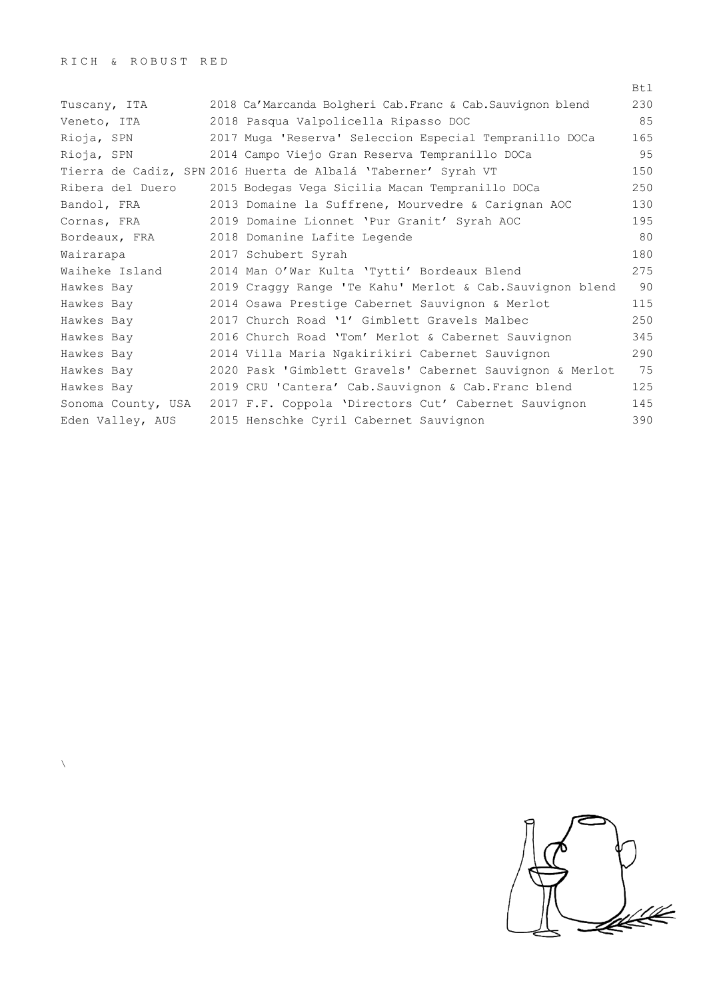$\bar{\lambda}$ 

|                    |                                                                | Btl |
|--------------------|----------------------------------------------------------------|-----|
| Tuscany, ITA       | 2018 Ca'Marcanda Bolgheri Cab.Franc & Cab.Sauvignon blend      | 230 |
| Veneto, ITA        | 2018 Pasqua Valpolicella Ripasso DOC                           | 85  |
| Rioja, SPN         | 2017 Muga 'Reserva' Seleccion Especial Tempranillo DOCa        | 165 |
| Rioja, SPN         | 2014 Campo Viejo Gran Reserva Tempranillo DOCa                 | 95  |
|                    | Tierra de Cadiz, SPN 2016 Huerta de Albalá 'Taberner' Syrah VT | 150 |
| Ribera del Duero   | 2015 Bodegas Vega Sicilia Macan Tempranillo DOCa               | 250 |
| Bandol, FRA        | 2013 Domaine la Suffrene, Mourvedre & Carignan AOC             | 130 |
| Cornas, FRA        | 2019 Domaine Lionnet 'Pur Granit' Syrah AOC                    | 195 |
| Bordeaux, FRA      | 2018 Domanine Lafite Legende                                   | 80  |
| Wairarapa          | 2017 Schubert Syrah                                            | 180 |
| Waiheke Island     | 2014 Man O'War Kulta 'Tytti' Bordeaux Blend                    | 275 |
| Hawkes Bay         | 2019 Craggy Range 'Te Kahu' Merlot & Cab. Sauvignon blend      | 90  |
| Hawkes Bay         | 2014 Osawa Prestige Cabernet Sauvignon & Merlot                | 115 |
| Hawkes Bay         | 2017 Church Road '1' Gimblett Gravels Malbec                   | 250 |
| Hawkes Bay         | 2016 Church Road 'Tom' Merlot & Cabernet Sauvignon             | 345 |
| Hawkes Bay         | 2014 Villa Maria Ngakirikiri Cabernet Sauvignon                | 290 |
| Hawkes Bay         | 2020 Pask 'Gimblett Gravels' Cabernet Sauvignon & Merlot       | 75  |
| Hawkes Bay         | 2019 CRU 'Cantera' Cab. Sauvignon & Cab. Franc blend           | 125 |
| Sonoma County, USA | 2017 F.F. Coppola 'Directors Cut' Cabernet Sauvignon           | 145 |
| Eden Valley, AUS   | 2015 Henschke Cyril Cabernet Sauvignon                         | 390 |

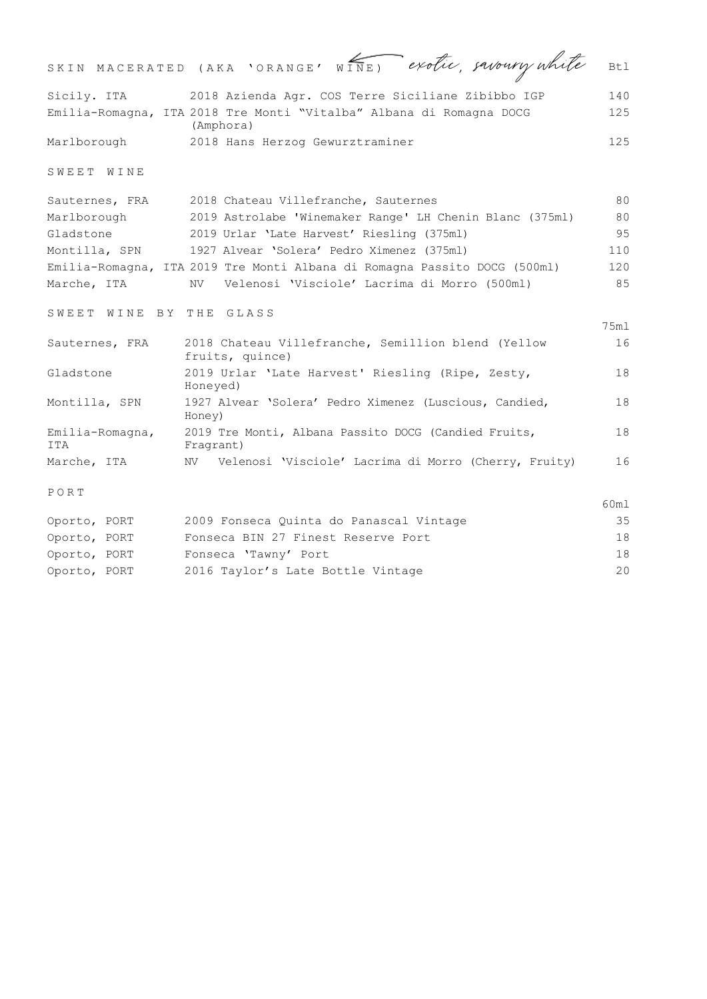|                         | SKIN MACERATED (AKA 'ORANGE' WINE) exotic, savoury white                         | Bt.1 |
|-------------------------|----------------------------------------------------------------------------------|------|
| Sicily. ITA             | 2018 Azienda Agr. COS Terre Siciliane Zibibbo IGP                                | 140  |
|                         | Emilia-Romagna, ITA 2018 Tre Monti "Vitalba" Albana di Romagna DOCG<br>(Amphora) | 125  |
| Marlborough             | 2018 Hans Herzog Gewurztraminer                                                  | 125  |
| SWEET WINE              |                                                                                  |      |
| Sauternes, FRA          | 2018 Chateau Villefranche, Sauternes                                             | 80   |
| Marlborough             | 2019 Astrolabe 'Winemaker Range' LH Chenin Blanc (375ml)                         | 80   |
| Gladstone               | 2019 Urlar 'Late Harvest' Riesling (375ml)                                       | 95   |
| Montilla, SPN           | 1927 Alvear 'Solera' Pedro Ximenez (375ml)                                       | 110  |
|                         | Emilia-Romagna, ITA 2019 Tre Monti Albana di Romagna Passito DOCG (500ml)        | 120  |
| Marche, ITA             | Velenosi 'Visciole' Lacrima di Morro (500ml)<br>NV -                             | 85   |
| SWEET WINE BY THE GLASS |                                                                                  |      |
|                         |                                                                                  | 75ml |
| Sauternes, FRA          | 2018 Chateau Villefranche, Semillion blend (Yellow<br>fruits, quince)            | 16   |
| Gladstone               | 2019 Urlar 'Late Harvest' Riesling (Ripe, Zesty,<br>Honeyed)                     | 18   |
| Montilla, SPN           | 1927 Alvear 'Solera' Pedro Ximenez (Luscious, Candied,<br>Honey)                 | 18   |
| Emilia-Romagna,<br>ITA  | 2019 Tre Monti, Albana Passito DOCG (Candied Fruits,<br>Fragrant)                | 18   |
| Marche, ITA             | Velenosi 'Visciole' Lacrima di Morro (Cherry, Fruity)<br>NV                      | 16   |
| PORT                    |                                                                                  |      |
|                         |                                                                                  | 60ml |
| Oporto, PORT            | 2009 Fonseca Quinta do Panascal Vintage                                          | 35   |
| Oporto, PORT            | Fonseca BIN 27 Finest Reserve Port                                               | 18   |
| Oporto, PORT            | Fonseca 'Tawny' Port                                                             | 18   |
| Oporto, PORT            | 2016 Taylor's Late Bottle Vintage                                                | 20   |
|                         |                                                                                  |      |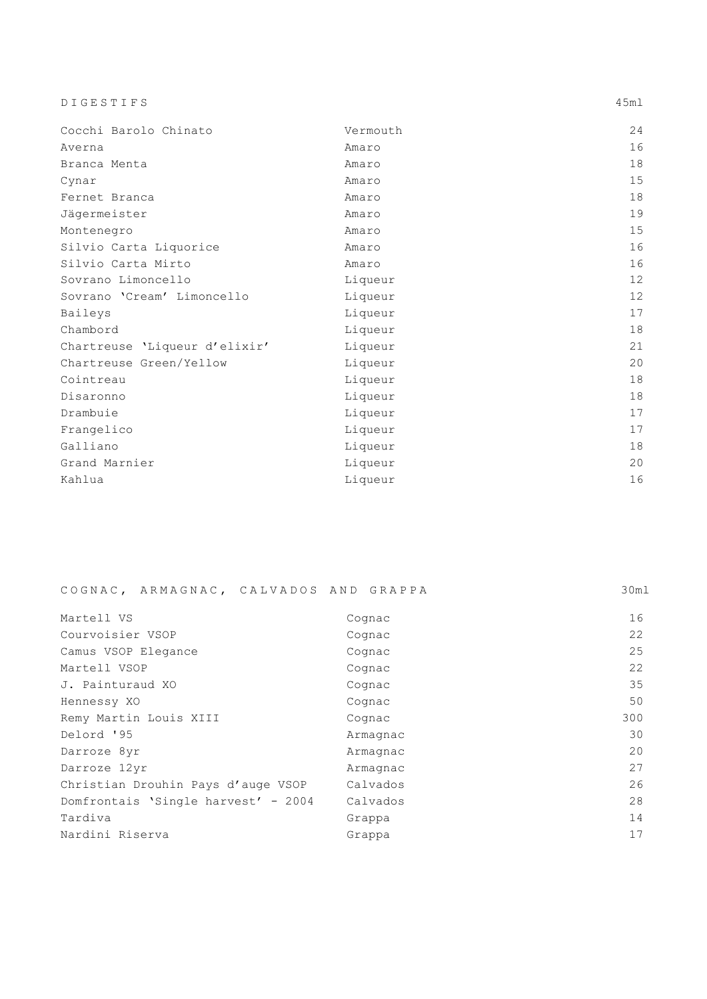DIGESTIFS 45ml

| Cocchi Barolo Chinato         | Vermouth | 24     |
|-------------------------------|----------|--------|
| Averna                        | Amaro    | 16     |
| Branca Menta                  | Amaro    | 18     |
| Cynar                         | Amaro    | 15     |
| Fernet Branca                 | Amaro    | 18     |
| Jägermeister                  | Amaro    | 19     |
| Montenegro                    | Amaro    | 15     |
| Silvio Carta Liquorice        | Amaro    | 16     |
| Silvio Carta Mirto            | Amaro    | 16     |
| Sovrano Limoncello            | Liqueur  | 12     |
| Sovrano 'Cream' Limoncello    | Liqueur  | 12     |
| Baileys                       | Liqueur  | 17     |
| Chambord                      | Liqueur  | $18\,$ |
| Chartreuse 'Liqueur d'elixir' | Liqueur  | 21     |
| Chartreuse Green/Yellow       | Liqueur  | 20     |
| Cointreau                     | Liqueur  | 18     |
| Disaronno                     | Liqueur  | 18     |
| Drambuie                      | Liqueur  | 17     |
| Frangelico                    | Liqueur  | 17     |
| Galliano                      | Liqueur  | 18     |
| Grand Marnier                 | Liqueur  | 20     |
| Kahlua                        | Liqueur  | 16     |

|  | COGNAC, ARMAGNAC, CALVADOS AND GRAPPA |  |  |  | 30ml |
|--|---------------------------------------|--|--|--|------|
|--|---------------------------------------|--|--|--|------|

| Martell VS                          | Cognac   | 16  |
|-------------------------------------|----------|-----|
| Courvoisier VSOP                    | Cognac   | 22  |
| Camus VSOP Elegance                 | Cognac   | 25  |
| Martell VSOP                        | Cognac   | 22  |
| J. Painturaud XO                    | Cognac   | 35  |
| Hennessy XO                         | Cognac   | 50  |
| Remy Martin Louis XIII              | Cognac   | 300 |
| Delord '95                          | Armagnac | 30  |
| Darroze 8yr                         | Armagnac | 20  |
| Darroze 12yr                        | Armagnac | 27  |
| Christian Drouhin Pays d'auge VSOP  | Calvados | 26  |
| Domfrontais 'Single harvest' - 2004 | Calvados | 28  |
| Tardiva                             | Grappa   | 14  |
| Nardini Riserva                     | Grappa   | 17  |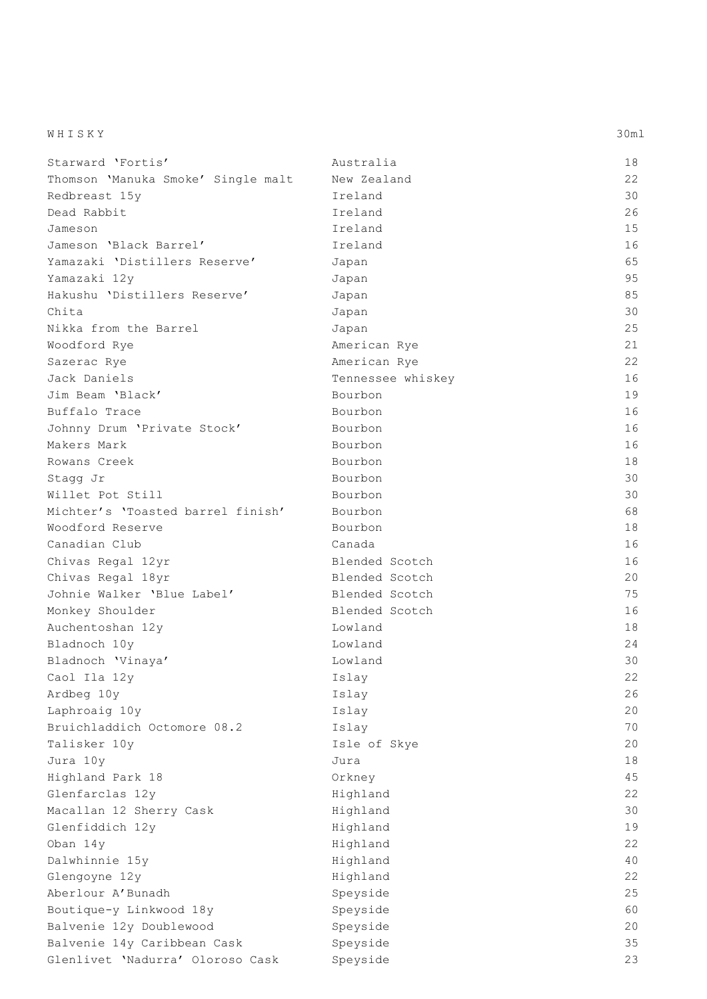| WHISKY | 30ml |
|--------|------|
|--------|------|

| Starward 'Fortis'                  | Australia         | 18 |
|------------------------------------|-------------------|----|
| Thomson 'Manuka Smoke' Single malt | New Zealand       | 22 |
| Redbreast 15y                      | Ireland           | 30 |
| Dead Rabbit                        | Ireland           | 26 |
| Jameson                            | Ireland           | 15 |
| Jameson 'Black Barrel'             | Ireland           | 16 |
| Yamazaki 'Distillers Reserve'      | Japan             | 65 |
| Yamazaki 12y                       | Japan             | 95 |
| Hakushu 'Distillers Reserve'       | Japan             | 85 |
| Chita                              | Japan             | 30 |
| Nikka from the Barrel              | Japan             | 25 |
| Woodford Rye                       | American Rye      | 21 |
| Sazerac Rye                        | American Rye      | 22 |
| Jack Daniels                       | Tennessee whiskey | 16 |
| Jim Beam 'Black'                   | Bourbon           | 19 |
| Buffalo Trace                      | Bourbon           | 16 |
| Johnny Drum 'Private Stock'        | Bourbon           | 16 |
| Makers Mark                        | Bourbon           | 16 |
| Rowans Creek                       | Bourbon           | 18 |
| Stagg Jr                           | Bourbon           | 30 |
| Willet Pot Still                   | Bourbon           | 30 |
| Michter's 'Toasted barrel finish'  | Bourbon           | 68 |
| Woodford Reserve                   | Bourbon           | 18 |
| Canadian Club                      | Canada            | 16 |
| Chivas Regal 12yr                  | Blended Scotch    | 16 |
| Chivas Regal 18yr                  | Blended Scotch    | 20 |
| Johnie Walker 'Blue Label'         | Blended Scotch    | 75 |
| Monkey Shoulder                    | Blended Scotch    | 16 |
| Auchentoshan 12y                   | Lowland           | 18 |
| Bladnoch 10y                       | Lowland           | 24 |
| Bladnoch 'Vinaya'                  | Lowland           | 30 |
| Caol Ila 12y                       | Islay             | 22 |
| Ardbeg 10y                         | Islay             | 26 |
| Laphroaig 10y                      | Islay             | 20 |
| Bruichladdich Octomore 08.2        | Islay             | 70 |
| Talisker 10y                       | Isle of Skye      | 20 |
| Jura 10y                           | Jura              | 18 |
| Highland Park 18                   | Orkney            | 45 |
| Glenfarclas 12y                    | Highland          | 22 |
| Macallan 12 Sherry Cask            | Highland          | 30 |
| Glenfiddich 12y                    | Highland          | 19 |
| Oban 14y                           | Highland          | 22 |
| Dalwhinnie 15y                     | Highland          | 40 |
| Glengoyne 12y                      | Highland          | 22 |
| Aberlour A' Bunadh                 | Speyside          | 25 |
| Boutique-y Linkwood 18y            | Speyside          | 60 |
| Balvenie 12y Doublewood            | Speyside          | 20 |
| Balvenie 14y Caribbean Cask        | Speyside          | 35 |
| Glenlivet 'Nadurra' Oloroso Cask   | Speyside          | 23 |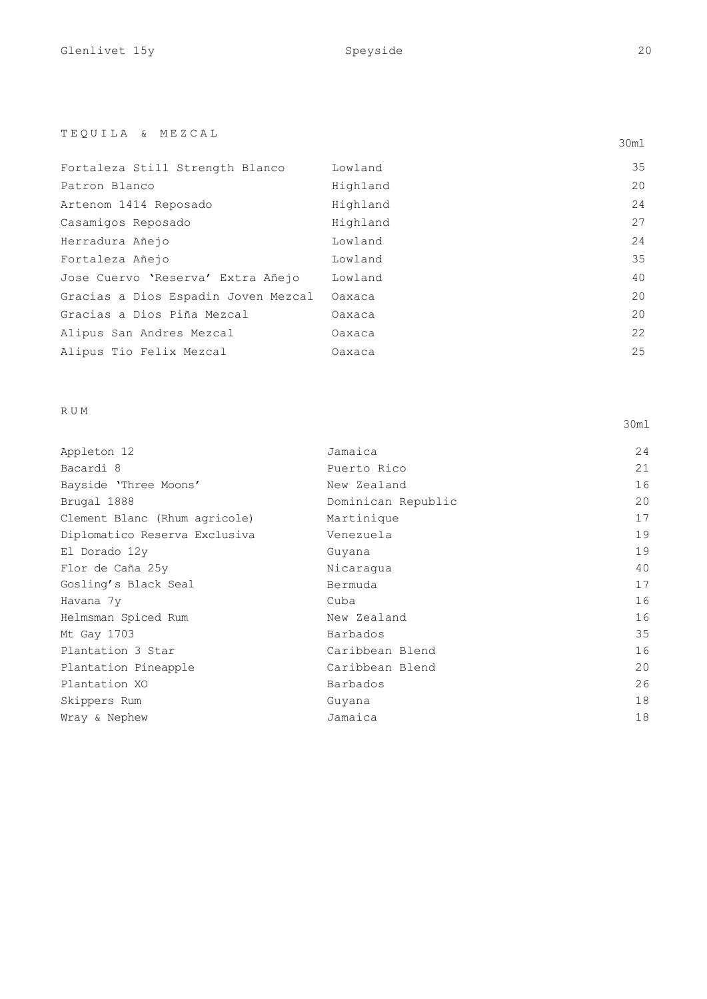# TEQUILA & MEZCAL

| Fortaleza Still Strength Blanco     | Lowland  | 35 |
|-------------------------------------|----------|----|
| Patron Blanco                       | Highland | 20 |
| Artenom 1414 Reposado               | Highland | 24 |
| Casamigos Reposado                  | Highland | 27 |
| Herradura Añejo                     | Lowland  | 24 |
| Fortaleza Añejo                     | Lowland  | 35 |
| Jose Cuervo 'Reserva' Extra Añejo   | Lowland  | 40 |
| Gracias a Dios Espadin Joven Mezcal | Oaxaca   | 20 |
| Gracias a Dios Piña Mezcal          | Oaxaca   | 20 |
| Alipus San Andres Mezcal            | Oaxaca   | 22 |
| Alipus Tio Felix Mezcal             | Oaxaca   | 25 |

# RUM

| Appleton 12                   | Jamaica            | 24 |
|-------------------------------|--------------------|----|
| Bacardi 8                     | Puerto Rico        | 21 |
| Bayside 'Three Moons'         | New Zealand        | 16 |
| Brugal 1888                   | Dominican Republic | 20 |
| Clement Blanc (Rhum agricole) | Martinique         | 17 |
| Diplomatico Reserva Exclusiva | Venezuela          | 19 |
| El Dorado 12y                 | Guyana             | 19 |
| Flor de Caña 25y              | Nicaraqua          | 40 |
| Gosling's Black Seal          | Bermuda            | 17 |
| Havana 7y                     | Cuba               | 16 |
| Helmsman Spiced Rum           | New Zealand        | 16 |
| Mt Gay 1703                   | Barbados           | 35 |
| Plantation 3 Star             | Caribbean Blend    | 16 |
| Plantation Pineapple          | Caribbean Blend    | 20 |
| Plantation XO                 | Barbados           | 26 |
| Skippers Rum                  | Guyana             | 18 |
| Wray & Nephew                 | Jamaica            | 18 |
|                               |                    |    |

30ml

30ml